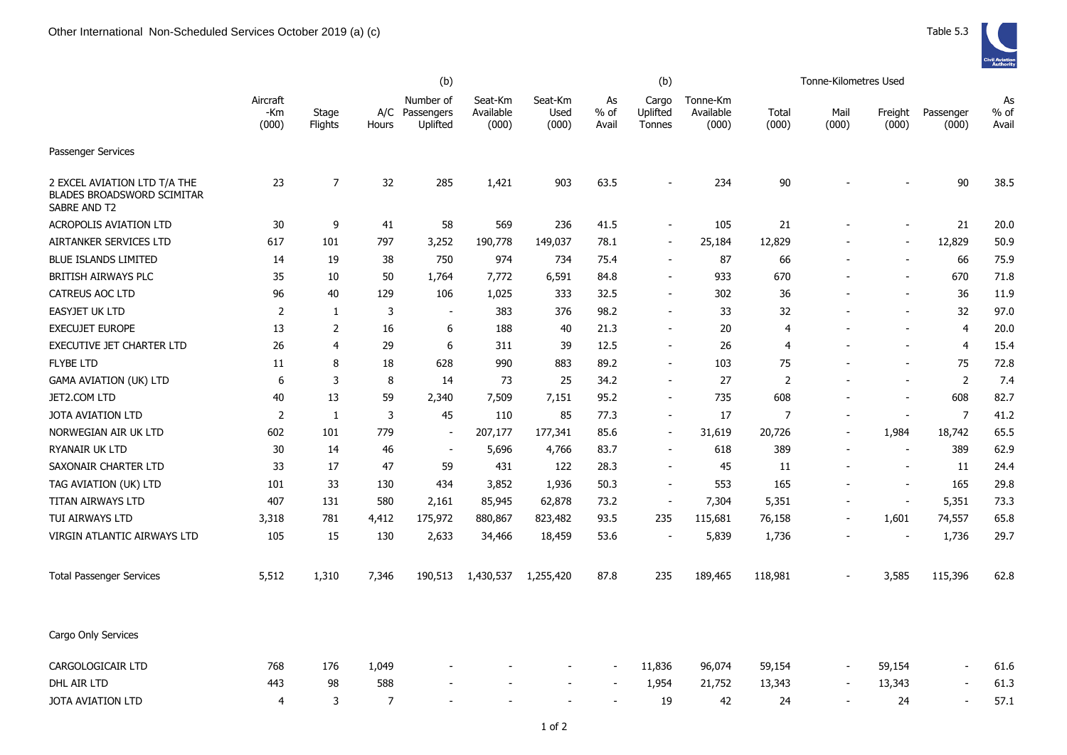|                                                                                   |                          |                  | (b)          |                                     |                               |                          | (b)                   |                             |                                |                | Tonne-Kilometres Used |                          |                    |                       |
|-----------------------------------------------------------------------------------|--------------------------|------------------|--------------|-------------------------------------|-------------------------------|--------------------------|-----------------------|-----------------------------|--------------------------------|----------------|-----------------------|--------------------------|--------------------|-----------------------|
|                                                                                   | Aircraft<br>-Km<br>(000) | Stage<br>Flights | A/C<br>Hours | Number of<br>Passengers<br>Uplifted | Seat-Km<br>Available<br>(000) | Seat-Km<br>Used<br>(000) | As<br>$%$ of<br>Avail | Cargo<br>Uplifted<br>Tonnes | Tonne-Km<br>Available<br>(000) | Total<br>(000) | Mail<br>(000)         | Freight<br>(000)         | Passenger<br>(000) | As<br>$%$ of<br>Avail |
| Passenger Services                                                                |                          |                  |              |                                     |                               |                          |                       |                             |                                |                |                       |                          |                    |                       |
| 2 EXCEL AVIATION LTD T/A THE<br><b>BLADES BROADSWORD SCIMITAR</b><br>SABRE AND T2 | 23                       | 7                | 32           | 285                                 | 1,421                         | 903                      | 63.5                  |                             | 234                            | 90             |                       |                          | 90                 | 38.5                  |
| <b>ACROPOLIS AVIATION LTD</b>                                                     | 30                       | 9                | 41           | 58                                  | 569                           | 236                      | 41.5                  | $\overline{\phantom{a}}$    | 105                            | 21             |                       |                          | 21                 | 20.0                  |
| AIRTANKER SERVICES LTD                                                            | 617                      | 101              | 797          | 3,252                               | 190,778                       | 149,037                  | 78.1                  | $\overline{\phantom{a}}$    | 25,184                         | 12,829         |                       |                          | 12,829             | 50.9                  |
| <b>BLUE ISLANDS LIMITED</b>                                                       | 14                       | 19               | 38           | 750                                 | 974                           | 734                      | 75.4                  |                             | 87                             | 66             |                       |                          | 66                 | 75.9                  |
| <b>BRITISH AIRWAYS PLC</b>                                                        | 35                       | 10               | 50           | 1,764                               | 7,772                         | 6,591                    | 84.8                  |                             | 933                            | 670            |                       |                          | 670                | 71.8                  |
| <b>CATREUS AOC LTD</b>                                                            | 96                       | 40               | 129          | 106                                 | 1,025                         | 333                      | 32.5                  | $\overline{\phantom{a}}$    | 302                            | 36             |                       |                          | 36                 | 11.9                  |
| <b>EASYJET UK LTD</b>                                                             | $\overline{2}$           | 1                | 3            | $\overline{\phantom{a}}$            | 383                           | 376                      | 98.2                  |                             | 33                             | 32             |                       |                          | 32                 | 97.0                  |
| <b>EXECUJET EUROPE</b>                                                            | 13                       | $\overline{2}$   | 16           | 6                                   | 188                           | 40                       | 21.3                  | $\overline{\phantom{a}}$    | 20                             | 4              |                       | ÷,                       | 4                  | 20.0                  |
| EXECUTIVE JET CHARTER LTD                                                         | 26                       | 4                | 29           | 6                                   | 311                           | 39                       | 12.5                  | $\blacksquare$              | 26                             | 4              |                       | $\overline{\phantom{a}}$ | 4                  | 15.4                  |
| <b>FLYBE LTD</b>                                                                  | 11                       | 8                | 18           | 628                                 | 990                           | 883                      | 89.2                  | $\overline{\phantom{a}}$    | 103                            | 75             |                       |                          | 75                 | 72.8                  |
| <b>GAMA AVIATION (UK) LTD</b>                                                     | 6                        | 3                | 8            | 14                                  | 73                            | 25                       | 34.2                  | $\overline{\phantom{a}}$    | 27                             | $\overline{2}$ |                       |                          | $\overline{2}$     | 7.4                   |
| JET2.COM LTD                                                                      | 40                       | 13               | 59           | 2,340                               | 7,509                         | 7,151                    | 95.2                  | $\blacksquare$              | 735                            | 608            |                       | ۰                        | 608                | 82.7                  |
| <b>JOTA AVIATION LTD</b>                                                          | $\overline{2}$           | 1                | 3            | 45                                  | 110                           | 85                       | 77.3                  | $\blacksquare$              | 17                             | $\overline{7}$ |                       | $\overline{\phantom{a}}$ | $\overline{7}$     | 41.2                  |
| NORWEGIAN AIR UK LTD                                                              | 602                      | 101              | 779          | $\blacksquare$                      | 207,177                       | 177,341                  | 85.6                  | $\blacksquare$              | 31,619                         | 20,726         |                       | 1,984                    | 18,742             | 65.5                  |
| RYANAIR UK LTD                                                                    | 30                       | 14               | 46           | $\overline{\phantom{a}}$            | 5,696                         | 4,766                    | 83.7                  | $\overline{\phantom{a}}$    | 618                            | 389            |                       | $\blacksquare$           | 389                | 62.9                  |
| SAXONAIR CHARTER LTD                                                              | 33                       | 17               | 47           | 59                                  | 431                           | 122                      | 28.3                  |                             | 45                             | 11             |                       | $\blacksquare$           | 11                 | 24.4                  |
| TAG AVIATION (UK) LTD                                                             | 101                      | 33               | 130          | 434                                 | 3,852                         | 1,936                    | 50.3                  |                             | 553                            | 165            |                       |                          | 165                | 29.8                  |
| TITAN AIRWAYS LTD                                                                 | 407                      | 131              | 580          | 2,161                               | 85,945                        | 62,878                   | 73.2                  | $\blacksquare$              | 7,304                          | 5,351          |                       | $\overline{\phantom{a}}$ | 5,351              | 73.3                  |
| TUI AIRWAYS LTD                                                                   | 3,318                    | 781              | 4,412        | 175,972                             | 880,867                       | 823,482                  | 93.5                  | 235                         | 115,681                        | 76,158         |                       | 1,601                    | 74,557             | 65.8                  |
| VIRGIN ATLANTIC AIRWAYS LTD                                                       | 105                      | 15               | 130          | 2,633                               | 34,466                        | 18,459                   | 53.6                  | $\overline{\phantom{a}}$    | 5,839                          | 1,736          |                       |                          | 1,736              | 29.7                  |
| <b>Total Passenger Services</b>                                                   | 5,512                    | 1,310            | 7,346        | 190,513                             | 1,430,537                     | 1,255,420                | 87.8                  | 235                         | 189,465                        | 118,981        |                       | 3,585                    | 115,396            | 62.8                  |
| Cargo Only Services                                                               |                          |                  |              |                                     |                               |                          |                       |                             |                                |                |                       |                          |                    |                       |
| CARGOLOGICAIR LTD                                                                 | 768                      | 176              | 1,049        |                                     |                               |                          |                       | 11,836                      | 96,074                         | 59,154         |                       | 59,154                   |                    | 61.6                  |
| DHL AIR LTD                                                                       | 443                      | 98               | 588          |                                     |                               |                          |                       | 1,954                       | 21,752                         | 13,343         |                       | 13,343                   |                    | 61.3                  |
| JOTA AVIATION LTD                                                                 | $\overline{4}$           | 3                | 7            |                                     |                               |                          |                       | 19                          | 42                             | 24             |                       | 24                       | $\blacksquare$     | 57.1                  |